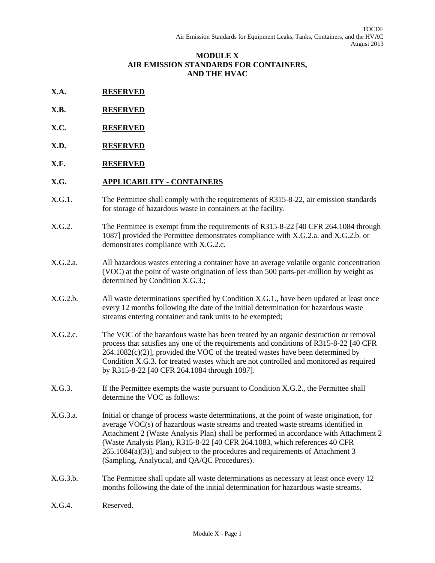#### **MODULE X AIR EMISSION STANDARDS FOR CONTAINERS, AND THE HVAC**

- **X.A. RESERVED**
- **X.B. RESERVED**
- **X.C. RESERVED**
- **X.D. RESERVED**
- **X.F. RESERVED**

# **X.G. APPLICABILITY - CONTAINERS**

- X.G.1. The Permittee shall comply with the requirements of R315-8-22, air emission standards for storage of hazardous waste in containers at the facility.
- X.G.2. The Permittee is exempt from the requirements of R315-8-22 [40 CFR 264.1084 through 1087] provided the Permittee demonstrates compliance with X.G.2.a. and X.G.2.b. or demonstrates compliance with X.G.2.c.
- X.G.2.a. All hazardous wastes entering a container have an average volatile organic concentration (VOC) at the point of waste origination of less than 500 parts-per-million by weight as determined by Condition X.G.3.;
- X.G.2.b. All waste determinations specified by Condition X.G.1., have been updated at least once every 12 months following the date of the initial determination for hazardous waste streams entering container and tank units to be exempted;
- X.G.2.c. The VOC of the hazardous waste has been treated by an organic destruction or removal process that satisfies any one of the requirements and conditions of R315-8-22 [40 CFR  $264.1082(c)(2)$ ], provided the VOC of the treated wastes have been determined by Condition X.G.3. for treated wastes which are not controlled and monitored as required by R315-8-22 [40 CFR 264.1084 through 1087].
- X.G.3. If the Permittee exempts the waste pursuant to Condition X.G.2., the Permittee shall determine the VOC as follows:
- X.G.3.a. Initial or change of process waste determinations, at the point of waste origination, for average VOC(s) of hazardous waste streams and treated waste streams identified in Attachment 2 (Waste Analysis Plan) shall be performed in accordance with Attachment 2 (Waste Analysis Plan), R315-8-22 [40 CFR 264.1083, which references 40 CFR 265.1084(a)(3)], and subject to the procedures and requirements of Attachment 3 (Sampling, Analytical, and QA/QC Procedures).
- X.G.3.b. The Permittee shall update all waste determinations as necessary at least once every 12 months following the date of the initial determination for hazardous waste streams.
- X.G.4. Reserved.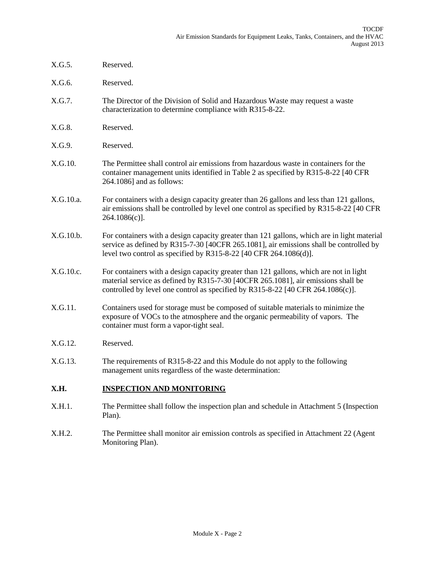- X.G.5. Reserved.
- X.G.6. Reserved.
- X.G.7. The Director of the Division of Solid and Hazardous Waste may request a waste characterization to determine compliance with R315-8-22.
- X.G.8. Reserved.
- X.G.9. Reserved.
- X.G.10. The Permittee shall control air emissions from hazardous waste in containers for the container management units identified in Table 2 as specified by R315-8-22 [40 CFR 264.1086] and as follows:
- X.G.10.a. For containers with a design capacity greater than 26 gallons and less than 121 gallons, air emissions shall be controlled by level one control as specified by R315-8-22 [40 CFR 264.1086(c)].
- X.G.10.b. For containers with a design capacity greater than 121 gallons, which are in light material service as defined by R315-7-30 [40CFR 265.1081], air emissions shall be controlled by level two control as specified by R315-8-22 [40 CFR 264.1086(d)].
- X.G.10.c. For containers with a design capacity greater than 121 gallons, which are not in light material service as defined by R315-7-30 [40CFR 265.1081], air emissions shall be controlled by level one control as specified by R315-8-22 [40 CFR 264.1086(c)].
- X.G.11. Containers used for storage must be composed of suitable materials to minimize the exposure of VOCs to the atmosphere and the organic permeability of vapors. The container must form a vapor-tight seal.
- X.G.12. Reserved.
- X.G.13. The requirements of R315-8-22 and this Module do not apply to the following management units regardless of the waste determination:

#### **X.H. INSPECTION AND MONITORING**

- X.H.1. The Permittee shall follow the inspection plan and schedule in Attachment 5 (Inspection Plan).
- X.H.2. The Permittee shall monitor air emission controls as specified in Attachment 22 (Agent Monitoring Plan).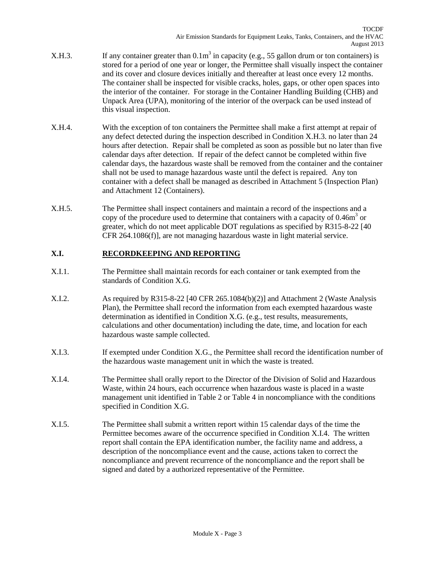- X.H.3. If any container greater than  $0.1m<sup>3</sup>$  in capacity (e.g., 55 gallon drum or ton containers) is stored for a period of one year or longer, the Permittee shall visually inspect the container and its cover and closure devices initially and thereafter at least once every 12 months. The container shall be inspected for visible cracks, holes, gaps, or other open spaces into the interior of the container. For storage in the Container Handling Building (CHB) and Unpack Area (UPA), monitoring of the interior of the overpack can be used instead of this visual inspection.
- X.H.4. With the exception of ton containers the Permittee shall make a first attempt at repair of any defect detected during the inspection described in Condition X.H.3. no later than 24 hours after detection. Repair shall be completed as soon as possible but no later than five calendar days after detection. If repair of the defect cannot be completed within five calendar days, the hazardous waste shall be removed from the container and the container shall not be used to manage hazardous waste until the defect is repaired. Any ton container with a defect shall be managed as described in Attachment 5 (Inspection Plan) and Attachment 12 (Containers).
- X.H.5. The Permittee shall inspect containers and maintain a record of the inspections and a copy of the procedure used to determine that containers with a capacity of  $0.46m<sup>3</sup>$  or greater, which do not meet applicable DOT regulations as specified by R315-8-22 [40 CFR 264.1086(f)], are not managing hazardous waste in light material service.

# **X.I. RECORDKEEPING AND REPORTING**

- X.I.1. The Permittee shall maintain records for each container or tank exempted from the standards of Condition X.G.
- X.I.2. As required by R315-8-22 [40 CFR 265.1084(b)(2)] and Attachment 2 (Waste Analysis Plan), the Permittee shall record the information from each exempted hazardous waste determination as identified in Condition X.G. (e.g., test results, measurements, calculations and other documentation) including the date, time, and location for each hazardous waste sample collected.
- X.I.3. If exempted under Condition X.G., the Permittee shall record the identification number of the hazardous waste management unit in which the waste is treated.
- X.I.4. The Permittee shall orally report to the Director of the Division of Solid and Hazardous Waste, within 24 hours, each occurrence when hazardous waste is placed in a waste management unit identified in Table 2 or Table 4 in noncompliance with the conditions specified in Condition X.G.
- X.I.5. The Permittee shall submit a written report within 15 calendar days of the time the Permittee becomes aware of the occurrence specified in Condition X.I.4. The written report shall contain the EPA identification number, the facility name and address, a description of the noncompliance event and the cause, actions taken to correct the noncompliance and prevent recurrence of the noncompliance and the report shall be signed and dated by a authorized representative of the Permittee.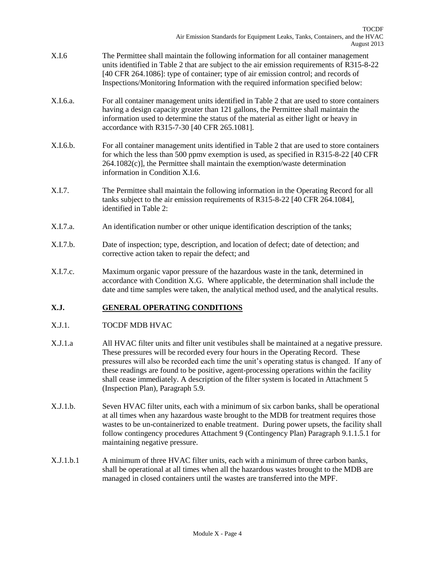- X.I.6 The Permittee shall maintain the following information for all container management units identified in Table 2 that are subject to the air emission requirements of R315-8-22 [40 CFR 264.1086]: type of container; type of air emission control; and records of Inspections/Monitoring Information with the required information specified below:
- X.I.6.a. For all container management units identified in Table 2 that are used to store containers having a design capacity greater than 121 gallons, the Permittee shall maintain the information used to determine the status of the material as either light or heavy in accordance with R315-7-30 [40 CFR 265.1081].
- X.I.6.b. For all container management units identified in Table 2 that are used to store containers for which the less than 500 ppmv exemption is used, as specified in R315-8-22 [40 CFR 264.1082(c)], the Permittee shall maintain the exemption/waste determination information in Condition X.I.6.
- X.I.7. The Permittee shall maintain the following information in the Operating Record for all tanks subject to the air emission requirements of R315-8-22 [40 CFR 264.1084], identified in Table 2:
- X.I.7.a. An identification number or other unique identification description of the tanks;
- X.I.7.b. Date of inspection; type, description, and location of defect; date of detection; and corrective action taken to repair the defect; and
- X.I.7.c. Maximum organic vapor pressure of the hazardous waste in the tank, determined in accordance with Condition X.G. Where applicable, the determination shall include the date and time samples were taken, the analytical method used, and the analytical results.

## **X.J. GENERAL OPERATING CONDITIONS**

#### X.J.1. TOCDF MDB HVAC

- X.J.1.a All HVAC filter units and filter unit vestibules shall be maintained at a negative pressure. These pressures will be recorded every four hours in the Operating Record. These pressures will also be recorded each time the unit's operating status is changed. If any of these readings are found to be positive, agent-processing operations within the facility shall cease immediately. A description of the filter system is located in Attachment 5 (Inspection Plan), Paragraph 5.9.
- X.J.1.b. Seven HVAC filter units, each with a minimum of six carbon banks, shall be operational at all times when any hazardous waste brought to the MDB for treatment requires those wastes to be un-containerized to enable treatment. During power upsets, the facility shall follow contingency procedures Attachment 9 (Contingency Plan) Paragraph 9.1.1.5.1 for maintaining negative pressure.
- X.J.1.b.1 A minimum of three HVAC filter units, each with a minimum of three carbon banks, shall be operational at all times when all the hazardous wastes brought to the MDB are managed in closed containers until the wastes are transferred into the MPF.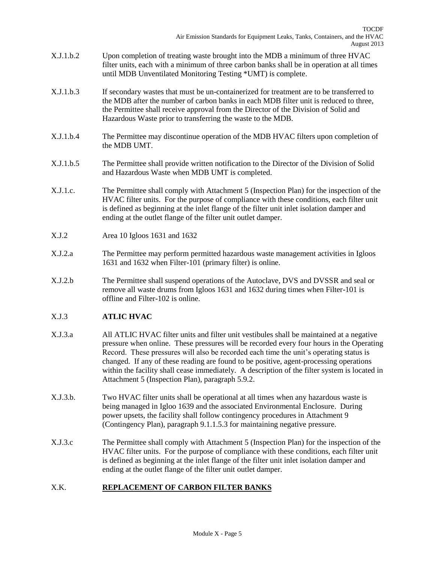- X.J.1.b.2 Upon completion of treating waste brought into the MDB a minimum of three HVAC filter units, each with a minimum of three carbon banks shall be in operation at all times until MDB Unventilated Monitoring Testing \*UMT) is complete.
- X.J.1.b.3 If secondary wastes that must be un-containerized for treatment are to be transferred to the MDB after the number of carbon banks in each MDB filter unit is reduced to three, the Permittee shall receive approval from the Director of the Division of Solid and Hazardous Waste prior to transferring the waste to the MDB.
- X.J.1.b.4 The Permittee may discontinue operation of the MDB HVAC filters upon completion of the MDB UMT.
- X.J.1.b.5 The Permittee shall provide written notification to the Director of the Division of Solid and Hazardous Waste when MDB UMT is completed.
- X.J.1.c. The Permittee shall comply with Attachment 5 (Inspection Plan) for the inspection of the HVAC filter units. For the purpose of compliance with these conditions, each filter unit is defined as beginning at the inlet flange of the filter unit inlet isolation damper and ending at the outlet flange of the filter unit outlet damper.
- X.J.2 Area 10 Igloos 1631 and 1632
- X.J.2.a The Permittee may perform permitted hazardous waste management activities in Igloos 1631 and 1632 when Filter-101 (primary filter) is online.
- X.J.2.b The Permittee shall suspend operations of the Autoclave, DVS and DVSSR and seal or remove all waste drums from Igloos 1631 and 1632 during times when Filter-101 is offline and Filter-102 is online.

## X.J.3 **ATLIC HVAC**

- X.J.3.a All ATLIC HVAC filter units and filter unit vestibules shall be maintained at a negative pressure when online. These pressures will be recorded every four hours in the Operating Record. These pressures will also be recorded each time the unit's operating status is changed. If any of these reading are found to be positive, agent-processing operations within the facility shall cease immediately. A description of the filter system is located in Attachment 5 (Inspection Plan), paragraph 5.9.2.
- X.J.3.b. Two HVAC filter units shall be operational at all times when any hazardous waste is being managed in Igloo 1639 and the associated Environmental Enclosure. During power upsets, the facility shall follow contingency procedures in Attachment 9 (Contingency Plan), paragraph 9.1.1.5.3 for maintaining negative pressure.
- X.J.3.c The Permittee shall comply with Attachment 5 (Inspection Plan) for the inspection of the HVAC filter units. For the purpose of compliance with these conditions, each filter unit is defined as beginning at the inlet flange of the filter unit inlet isolation damper and ending at the outlet flange of the filter unit outlet damper.

## X.K. **REPLACEMENT OF CARBON FILTER BANKS**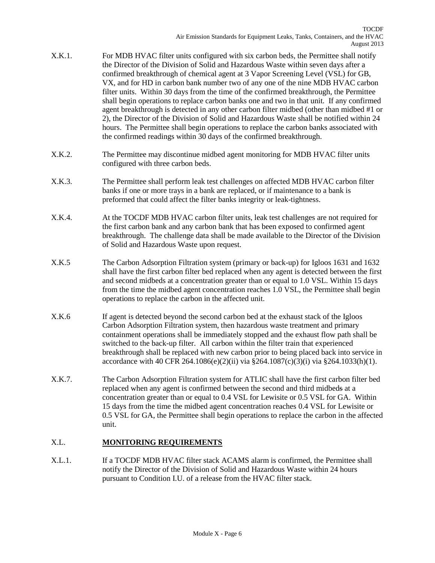- X.K.1. For MDB HVAC filter units configured with six carbon beds, the Permittee shall notify the Director of the Division of Solid and Hazardous Waste within seven days after a confirmed breakthrough of chemical agent at 3 Vapor Screening Level (VSL) for GB, VX, and for HD in carbon bank number two of any one of the nine MDB HVAC carbon filter units. Within 30 days from the time of the confirmed breakthrough, the Permittee shall begin operations to replace carbon banks one and two in that unit. If any confirmed agent breakthrough is detected in any other carbon filter midbed (other than midbed #1 or 2), the Director of the Division of Solid and Hazardous Waste shall be notified within 24 hours. The Permittee shall begin operations to replace the carbon banks associated with the confirmed readings within 30 days of the confirmed breakthrough.
- X.K.2. The Permittee may discontinue midbed agent monitoring for MDB HVAC filter units configured with three carbon beds.
- X.K.3. The Permittee shall perform leak test challenges on affected MDB HVAC carbon filter banks if one or more trays in a bank are replaced, or if maintenance to a bank is preformed that could affect the filter banks integrity or leak-tightness.
- X.K.4. At the TOCDF MDB HVAC carbon filter units, leak test challenges are not required for the first carbon bank and any carbon bank that has been exposed to confirmed agent breakthrough. The challenge data shall be made available to the Director of the Division of Solid and Hazardous Waste upon request.
- X.K.5 The Carbon Adsorption Filtration system (primary or back-up) for Igloos 1631 and 1632 shall have the first carbon filter bed replaced when any agent is detected between the first and second midbeds at a concentration greater than or equal to 1.0 VSL. Within 15 days from the time the midbed agent concentration reaches 1.0 VSL, the Permittee shall begin operations to replace the carbon in the affected unit.
- X.K.6 If agent is detected beyond the second carbon bed at the exhaust stack of the Igloos Carbon Adsorption Filtration system, then hazardous waste treatment and primary containment operations shall be immediately stopped and the exhaust flow path shall be switched to the back-up filter. All carbon within the filter train that experienced breakthrough shall be replaced with new carbon prior to being placed back into service in accordance with 40 CFR 264.1086(e)(2)(ii) via §264.1087(c)(3)(i) via §264.1033(h)(1).
- X.K.7. The Carbon Adsorption Filtration system for ATLIC shall have the first carbon filter bed replaced when any agent is confirmed between the second and third midbeds at a concentration greater than or equal to 0.4 VSL for Lewisite or 0.5 VSL for GA. Within 15 days from the time the midbed agent concentration reaches 0.4 VSL for Lewisite or 0.5 VSL for GA, the Permittee shall begin operations to replace the carbon in the affected unit.

### X.L. **MONITORING REQUIREMENTS**

X.L.1. If a TOCDF MDB HVAC filter stack ACAMS alarm is confirmed, the Permittee shall notify the Director of the Division of Solid and Hazardous Waste within 24 hours pursuant to Condition I.U. of a release from the HVAC filter stack.